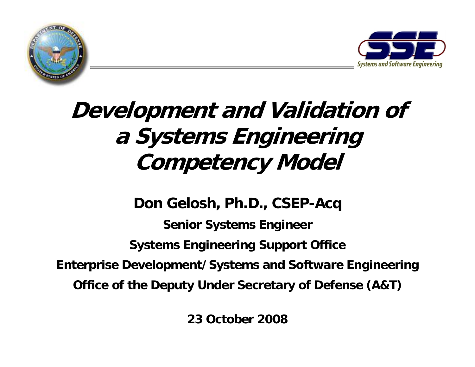



# **Development and Validation of a Systems Engineering Competency Model**

**Don Gelosh, Ph.D., CSEP-Acq Senior Systems Engineer Systems Engineering Support Office Enterprise Development/Systems and Software Engineering Office of the Deputy Under Secretary of Defense (A&T)**

**23 October 2008**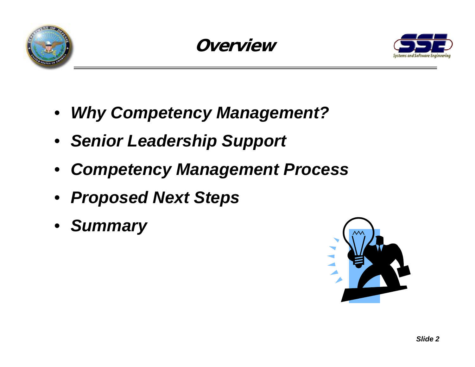





- *Why Competency Management?*
- *Senior Leadership Support*
- *Competency Management Process*
- *Proposed Next Steps*
- *Summary*

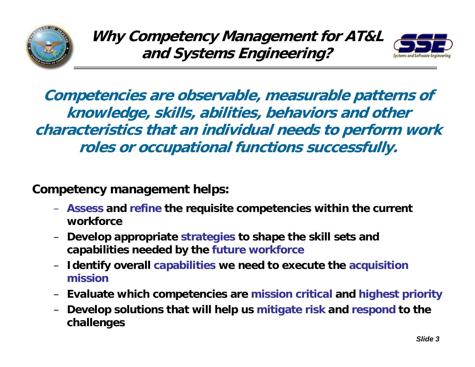



**Competencies are observable, measurable patterns of knowledge, skills, abilities, behaviors and other characteristics that an individual needs to perform work roles or occupational functions successfully.**

**Competency management helps:**

- **Assess and refine the requisite competencies within the current workforce**
- **Develop appropriate strategies to shape the skill sets and capabilities needed by the future workforce**
- – **Identify overall capabilities we need to execute the acquisition mission**
- –**Evaluate which competencies are mission critical and highest priority**
- – **Develop solutions that will help us mitigate risk and respond to the challenges**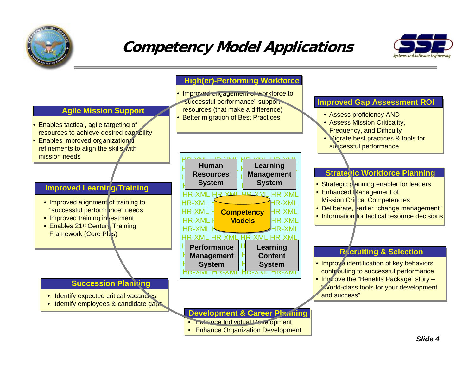

# **Competency Model Applications**



#### **High(er)-Performing Workforce**

- Improved engagement of workforce to successful performance" support resources (that make a difference)
- Better migration of Best Practices

| <b>Human</b>                                                          | Learning                                                                                              |  |  |  |
|-----------------------------------------------------------------------|-------------------------------------------------------------------------------------------------------|--|--|--|
| <b>Resources</b>                                                      | <b>Management</b>                                                                                     |  |  |  |
| <b>System</b>                                                         | <b>System</b>                                                                                         |  |  |  |
| 'N AL<br>HR-XML<br>HR-XML<br><b>HR-XML</b><br><b>HR-XML</b><br>HR-XML | $HD_XM$<br>HR-XM<br><b>IR-XML</b><br>IR-XML<br><b>Competency</b><br>HR-XML<br><b>Models</b><br>HR-XMI |  |  |  |
| HR-XMI HR-XMI                                                         | HR-XML                                                                                                |  |  |  |
| <b>Performance</b>                                                    | Learning                                                                                              |  |  |  |
| <b>Management</b>                                                     | <b>Content</b>                                                                                        |  |  |  |
| <b>System</b>                                                         | <b>System</b>                                                                                         |  |  |  |

#### **Development & Career Planning**

- **Enhance Individual Development**
- •Enhance Organization Development

#### **Improved Gap Assessment ROI**

- Assess proficiency AND
- Assess Mission Criticality,
- Frequency, and Difficulty
- Migrate best practices & tools for successful performance

#### **Strategic Workforce Planning**

- Strategic p anning enabler for leaders
- Enhanced Management of **Mission Critical Competencies**
- Deliberate, >arlier "change management"
- Information for tactical resource decisions

#### **Recruiting & Selection**

- Improve identification of key behaviors contributing to successful performance
- Improve the "Benefits Package" story "World-class tools for your development and success"

### **Agile Mission Support**

- Enables tactical, agile targeting of resources to achieve desired capability
- $\bullet$  Enables improved organization $\pi$ l refinements to align the skills with mission needs

#### **Improved Learning/Training**

- Improved alignment of training to "successful perform ance" needs
- Improved training in restment
- Enables 21st Century Training Framework (Core Plus)

#### **Succession Planning**

- Identify expected critical vacancies
- Identify employees & candidate gaps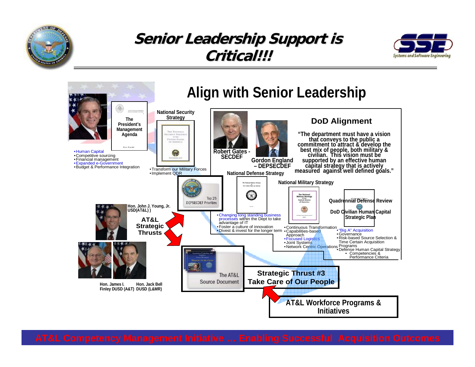

## **Senior Leadership Support is Critical!!! Critical!!!**



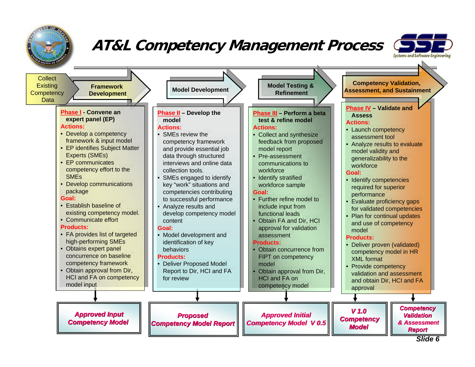

## **AT&L Competency Management Process**



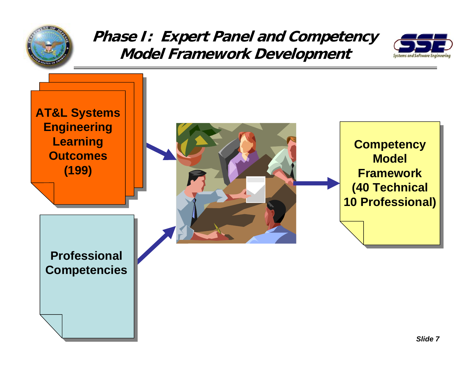

## **Phase I: Expert Panel and Competency Model Framework Development**



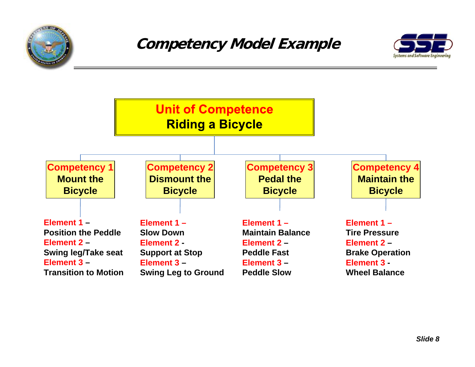



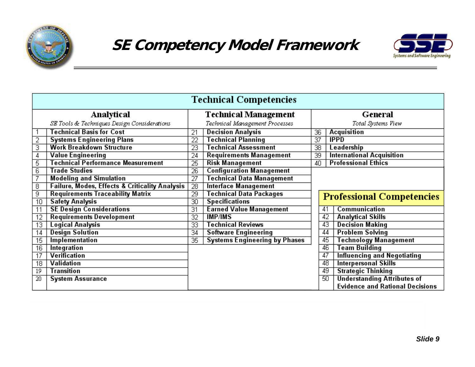



| <b>Technical Competencies</b> |                                                           |                             |                                      |                    |    |                                        |  |  |  |
|-------------------------------|-----------------------------------------------------------|-----------------------------|--------------------------------------|--------------------|----|----------------------------------------|--|--|--|
| Analytical                    |                                                           | <b>Technical Management</b> |                                      | General            |    |                                        |  |  |  |
|                               | SE Tools & Techniques Design Considerations               |                             | Technical Management Processes       | Total Systems View |    |                                        |  |  |  |
|                               | Technical Basis for Cost                                  | 21                          | <b>Decision Analysis</b>             | 36                 |    | Acquisition                            |  |  |  |
| 2                             | <b>Systems Engineering Plans</b>                          | $\overline{22}$             | <b>Technical Planning</b>            | $\overline{37}$    |    | <b>IPPD</b>                            |  |  |  |
| з                             | <b>Work Breakdown Structure</b>                           | 23                          | <b>Technical Assessment</b>          | 38                 |    | Leadership                             |  |  |  |
| 4                             | Value Engineering                                         | 24                          | <b>Requirements Management</b>       | $\overline{39}$    |    | International Acquisition              |  |  |  |
| 5                             | Technical Performance Measurement                         | $\overline{25}$             | <b>Risk Management</b>               | 40                 |    | <b>Professional Ethics</b>             |  |  |  |
| 6                             | <b>Trade Studies</b>                                      | 26                          | <b>Configuration Management</b>      |                    |    |                                        |  |  |  |
| 7                             | <b>Modeling and Simulation</b>                            | $\overline{27}$             | Technical Data Management            |                    |    |                                        |  |  |  |
| 8                             | <b>Failure, Modes, Effects &amp; Criticality Analysis</b> | $\overline{28}$             | <b>Interface Management</b>          |                    |    |                                        |  |  |  |
| 9                             | <b>Requirements Traceability Matrix</b>                   | $\overline{29}$             | <b>Technical Data Packages</b>       |                    |    | <b>Professional Competencies</b>       |  |  |  |
| 10                            | <b>Safety Analysis</b>                                    | $\overline{30}$             | <b>Specifications</b>                |                    |    |                                        |  |  |  |
|                               | <b>SE Design Considerations</b>                           | $\overline{31}$             | <b>Earned Value Management</b>       |                    | 41 | Communication                          |  |  |  |
| 12                            | <b>Requirements Development</b>                           | 32                          | <b>IMP/IMS</b>                       |                    | 42 | <b>Analytical Skills</b>               |  |  |  |
| 13                            | Logical Analysis                                          | $\overline{33}$             | <b>Technical Reviews</b>             |                    | 43 | <b>Decision Making</b>                 |  |  |  |
| 14                            | <b>Design Solution</b>                                    | $\overline{34}$             | <b>Software Engineering</b>          |                    | 44 | <b>Problem Solving</b>                 |  |  |  |
| 15                            | Implementation                                            | $\overline{35}$             | <b>Systems Engineering by Phases</b> |                    | 45 | Technology Management                  |  |  |  |
| 16                            | Integration                                               |                             |                                      |                    | 46 | Team Building                          |  |  |  |
| 17                            | Verification                                              |                             |                                      |                    | 47 | <b>Influencing and Negotiating</b>     |  |  |  |
| 18                            | Validation                                                |                             |                                      |                    | 48 | <b>Interpersonal Skills</b>            |  |  |  |
| 19                            | Transition                                                |                             |                                      |                    | 49 | <b>Strategic Thinking</b>              |  |  |  |
| 20                            | <b>System Assurance</b>                                   |                             |                                      |                    | 50 | <b>Understanding Attributes of</b>     |  |  |  |
|                               |                                                           |                             |                                      |                    |    | <b>Evidence and Rational Decisions</b> |  |  |  |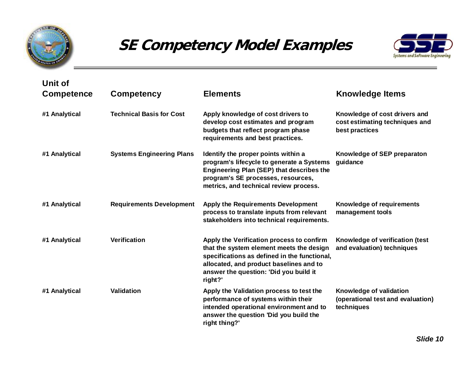

## **SE Competency Model Examples**



| Unit of<br><b>Competence</b> | <b>Competency</b>                | <b>Elements</b>                                                                                                                                                                                                                       | <b>Knowledge Items</b>                                                            |
|------------------------------|----------------------------------|---------------------------------------------------------------------------------------------------------------------------------------------------------------------------------------------------------------------------------------|-----------------------------------------------------------------------------------|
| #1 Analytical                | <b>Technical Basis for Cost</b>  | Apply knowledge of cost drivers to<br>develop cost estimates and program<br>budgets that reflect program phase<br>requirements and best practices.                                                                                    | Knowledge of cost drivers and<br>cost estimating techniques and<br>best practices |
| #1 Analytical                | <b>Systems Engineering Plans</b> | Identify the proper points within a<br>program's lifecycle to generate a Systems<br><b>Engineering Plan (SEP) that describes the</b><br>program's SE processes, resources,<br>metrics, and technical review process.                  | Knowledge of SEP preparaton<br>guidance                                           |
| #1 Analytical                | <b>Requirements Development</b>  | <b>Apply the Requirements Development</b><br>process to translate inputs from relevant<br>stakeholders into technical requirements.                                                                                                   | Knowledge of requirements<br>management tools                                     |
| #1 Analytical                | <b>Verification</b>              | Apply the Verification process to confirm<br>that the system element meets the design<br>specifications as defined in the functional,<br>allocated, and product baselines and to<br>answer the question: 'Did you build it<br>right?' | Knowledge of verification (test<br>and evaluation) techniques                     |
| #1 Analytical                | <b>Validation</b>                | Apply the Validation process to test the<br>performance of systems within their<br>intended operational environment and to<br>answer the question 'Did you build the<br>right thing?'                                                 | Knowledge of validation<br>(operational test and evaluation)<br>techniques        |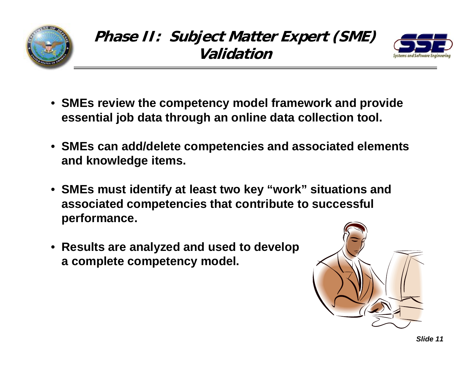





- **SMEs review the competency model framework and provide essential job data through an online data collection tool.**
- **SMEs can add/delete competencies and associated elements and knowledge items.**
- **SMEs must identify at least two key "work" situations and associated competencies that contribute to successful performance.**
- **Results are analyzed and used to develop a complete competency model.**

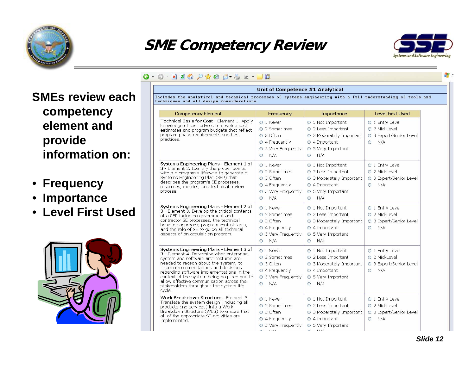

## **SME Competency Review**



#### 0 0 200 0 x 0 8 2 2 D 1

#### Unit of Competence #1 Analytical

Includes the analytical and technical processes of systems engineering with a full understanding of tools and techniques and all design considerations.

| <b>Competency Element</b>                                                                                                                                                                                                                                                                                                                                                                                    | Frequency                                                                                                                                                                                                                                             | Importance                                                                                                                           | <b>Level First Used</b>                                                       |  |  |
|--------------------------------------------------------------------------------------------------------------------------------------------------------------------------------------------------------------------------------------------------------------------------------------------------------------------------------------------------------------------------------------------------------------|-------------------------------------------------------------------------------------------------------------------------------------------------------------------------------------------------------------------------------------------------------|--------------------------------------------------------------------------------------------------------------------------------------|-------------------------------------------------------------------------------|--|--|
| Technical Basis for Cost - Element 1. Apply<br>knowledge of cost drivers to develop cost<br>estimates and program budgets that reflect<br>program phase requirements and best<br>practices.                                                                                                                                                                                                                  | O 1 Never<br>◯ 1 Not Important<br>O 2 Sometimes<br>O 2 Less Important<br>O <sub>3</sub> Often<br>O 3 Moderately Important<br>$\circ$ 4 Frequently<br>$O$ 4 Important<br>○ 5 Very Frequently<br>○ 5 Very Important<br>N/A<br>N/A<br>$\circ$<br>$\circ$ |                                                                                                                                      | O 1 Entry Level<br>O 2 Mid-Level<br>O 3 Expert/Senior Level<br>N/A<br>$\circ$ |  |  |
| Systems Engineering Plans - Element 1 of<br>3 - Element 2. Identify the proper points<br>within a program's lifecycle to generate a<br>Systems Engineering Plan (SEP) that<br>describes the program's SE processes,<br>resources, metrics, and technical review<br>process.                                                                                                                                  | O 1 Never<br>O 2 Sometimes<br>O 3 Often<br>$\circ$ 4 Frequently<br>○ 5 Very Frequently<br>N/A<br>$\circ$                                                                                                                                              | O 1 Not Important<br>$O$ 2 Less Important<br>○ 3 Moderately Important<br>$\circ$ 4 Important<br>○ 5 Very Important<br>N/A<br>$\circ$ | O 1 Entry Level<br>O 2 Mid-Level<br>○ 3 Expert/Senior Level<br>N/A<br>$\circ$ |  |  |
| Systems Engineering Plans - Element 2 of<br>3 - Element 3. Develop the critical contents<br>of a SEP including government and<br>contractor SE processes, the technical<br>baseline approach, program control tools,<br>and the role of SE to guide all technical<br>aspects of an acquisition program.                                                                                                      | O 1 Never<br>O 2 Sometimes<br>O 3 Often<br>O 4 Frequently<br>○ 5 Very Frequently<br>N/A<br>$\circ$                                                                                                                                                    | ○ 1 Not Important<br>O 2 Less Important<br>O 3 Moderately Important<br>$\circ$ 4 Important<br>○ 5 Very Important<br>N/A<br>$\circ$   | O 1 Entry Level<br>O 2 Mid-Level<br>O 3 Expert/Senior Level<br>N/A<br>$\circ$ |  |  |
| Systems Engineering Plans - Element 3 of<br>3 - Element 4. Determine what enterprise,<br>system and software architectures are<br>needed to reason about the system, to<br>inform recommendations and decisions<br>regarding software implementations in the<br>context of the system being acquired and to<br>allow effective communication across the<br>stakeholders throughout the system life<br>cycle. | O 1 Never<br>O 2 Sometimes<br>O 3 Often<br>O 4 Frequently<br>O 5 Very Frequently<br>N/A<br>$\circ$                                                                                                                                                    | ○ 1 Not Important<br>O 2 Less Important<br>O 3 Moderately Important<br>○ 4 Important<br>○ 5 Very Important<br>N/A<br>$\circ$         | O 1 Entry Level<br>O 2 Mid-Level<br>○ 3 Expert/Senior Level<br>N/A<br>$\circ$ |  |  |
| Work Breakdown Structure - Element 5.<br>Translate the system design (including all<br>products and services) into a Work<br>Breakdown Structure (WBS) to ensure that<br>all of the appropriate SE activities are<br>implemented.                                                                                                                                                                            | O 1 Never<br>O 2 Sometimes<br>O 3 Often<br>O 4 Frequently<br>○ 5 Very Frequently                                                                                                                                                                      | ○ 1 Not Important<br>O 2 Less Important<br>O 3 Moderately Important<br>$O$ 4 Important<br>○ 5 Very Important                         | O 1 Entry Level<br>O 2 Mid-Level<br>O 3 Expert/Senior Level<br>N/A<br>$\circ$ |  |  |

## **SMEs review each competency element and provide information on:**

- •**Frequency**
- •**Importance**
- •**Level First Used**

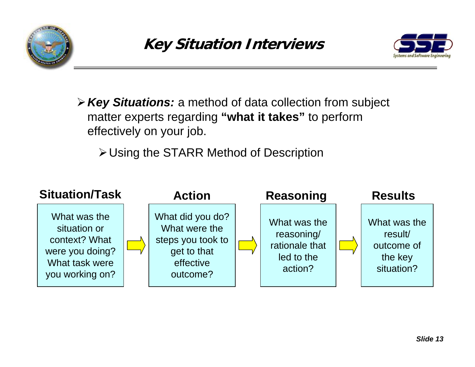



¾*Key Situations:* a method of data collection from subject matter experts regarding **"what it takes"** to perform effectively on your job.

¾Using the STARR Method of Description

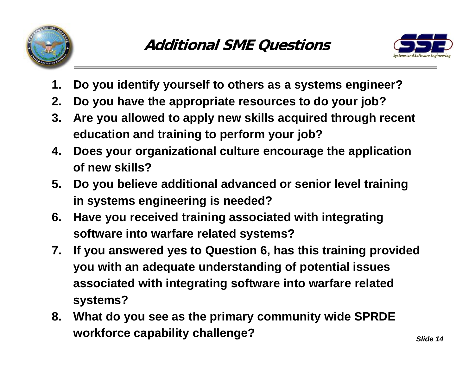



- **1. Do you identify yourself to others as a systems engineer?**
- **2. Do you have the appropriate resources to do your job?**
- **3. Are you allowed to apply new skills acquired through recent education and training to perform your job?**
- **4. Does your organizational culture encourage the application of new skills?**
- **5. Do you believe additional advanced or senior level training in systems engineering is needed?**
- **6. Have you received training associated with integrating software into warfare related systems?**
- **7. If you answered yes to Question 6, has this training provided you with an adequate understanding of potential issues associated with integrating software into warfare related systems?**
- **8. What do you see as the primary community wide SPRDE workforce capability challenge?**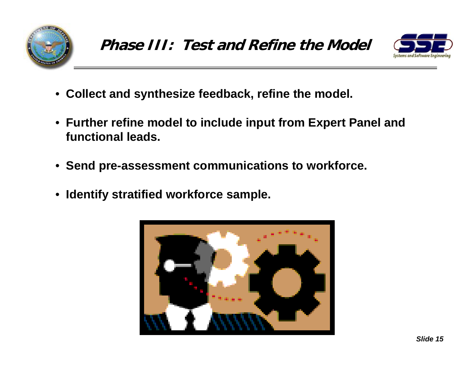



- **Collect and synthesize feedback, refine the model.**
- **Further refine model to include input from Expert Panel and functional leads.**
- **Send pre-assessment communications to workforce.**
- •**Identify stratified workforce sample.**

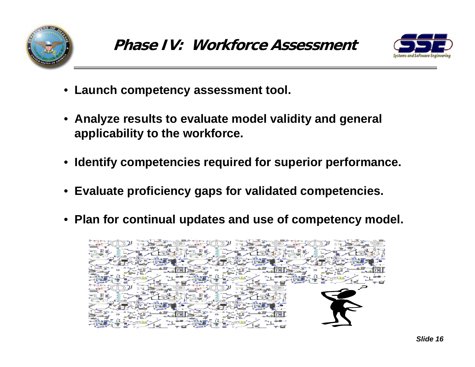



- **Launch competency assessment tool.**
- **Analyze results to evaluate model validity and general applicability to the workforce.**
- **Identify competencies required for superior performance.**
- **Evaluate proficiency gaps for validated competencies.**
- **Plan for continual updates and use of competency model.**

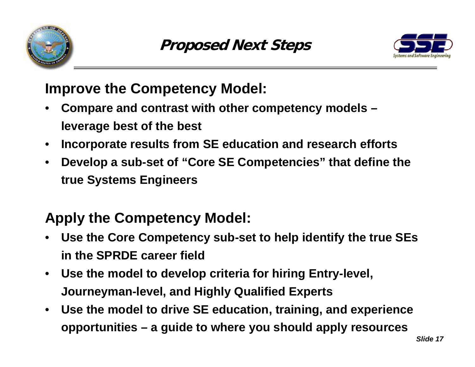



## **Improve the Competency Model:**

- • **Compare and contrast with other competency models – leverage best of the best**
- •**Incorporate results from SE education and research efforts**
- $\bullet$  **Develop a sub-set of "Core SE Competencies" that define the true Systems Engineers**

# **Apply the Competency Model:**

- • **Use the Core Competency sub-set to help identify the true SEs in the SPRDE career field**
- • **Use the model to develop criteria for hiring Entry-level, Journeyman-level, and Highly Qualified Experts**
- $\bullet$  **Use the model to drive SE education, training, and experience opportunities – a guide to where you should apply resources**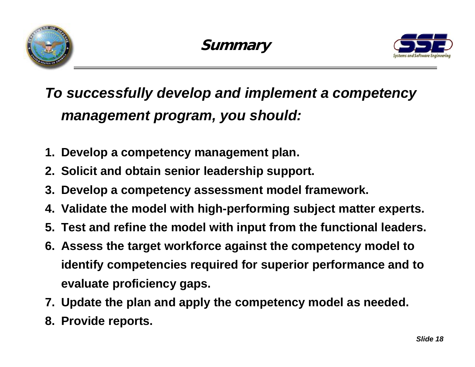



# *To successfully develop and implement a competency management program, you should:*

- **1. Develop a competency management plan.**
- **2. Solicit and obtain senior leadership support.**
- **3. Develop a competency assessment model framework.**
- **4. Validate the model with high-performing subject matter experts.**
- **5. Test and refine the model with input from the functional leaders.**
- **6. Assess the target workforce against the competency model to identify competencies required for superior performance and to evaluate proficiency gaps.**
- **7. Update the plan and apply the competency model as needed.**
- **8. Provide reports.**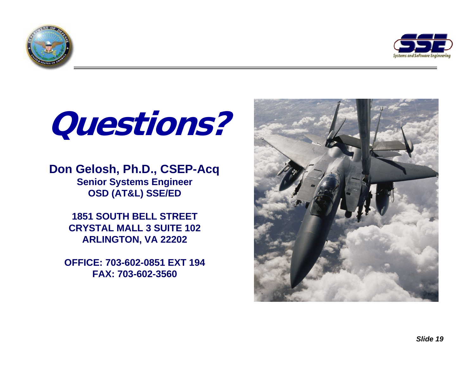



# **Questions?**

## **Don Gelosh, Ph.D., CSEP-Acq Senior Systems Engineer OSD (AT&L) SSE/ED**

**1851 SOUTH BELL STREET CRYSTAL MALL 3 SUITE 102 ARLINGTON, VA 22202** 

**OFFICE: 703-602-0851 EXT 194 FAX: 703-602-3560** 

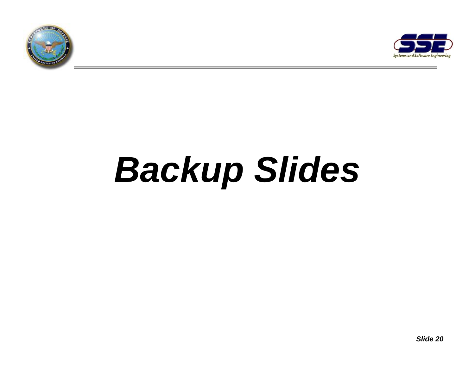



# *Backup Slides*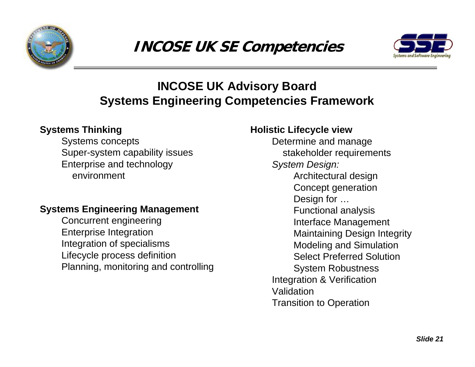



## **INCOSE UK Advisory Board Systems Engineering Competencies Framework**

### **Systems Thinking**

Systems concepts Super-system capability issues Enterprise and technology environment

### **Systems Engineering Management**

Concurrent engineering Enterprise Integration Integration of specialisms Lifecycle process definition Planning, monitoring and controlling

## **Holistic Lifecycle view**

Determine and manage stakeholder requirements *System Design:* Architectural design Concept generation Design for … Functional analysis Interface Management Maintaining Design Integrity Modeling and Simulation Select Preferred SolutionSystem Robustness Integration & Verification ValidationTransition to Operation